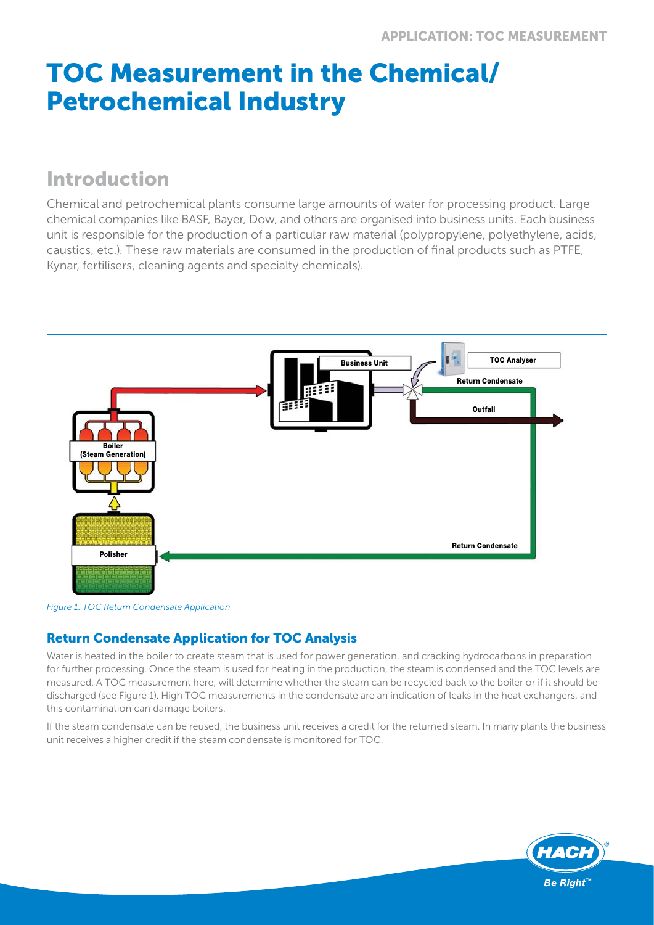# TOC Measurement in the Chemical/ Petrochemical Industry

# Introduction

Chemical and petrochemical plants consume large amounts of water for processing product. Large chemical companies like BASF, Bayer, Dow, and others are organised into business units. Each business unit is responsible for the production of a particular raw material (polypropylene, polyethylene, acids, caustics, etc.). These raw materials are consumed in the production of final products such as PTFE, Kynar, fertilisers, cleaning agents and specialty chemicals).



*Figure 1. TOC Return Condensate Application*

## Return Condensate Application for TOC Analysis

Water is heated in the boiler to create steam that is used for power generation, and cracking hydrocarbons in preparation for further processing. Once the steam is used for heating in the production, the steam is condensed and the TOC levels are measured. A TOC measurement here, will determine whether the steam can be recycled back to the boiler or if it should be discharged (see Figure 1). High TOC measurements in the condensate are an indication of leaks in the heat exchangers, and this contamination can damage boilers.

If the steam condensate can be reused, the business unit receives a credit for the returned steam. In many plants the business unit receives a higher credit if the steam condensate is monitored for TOC.

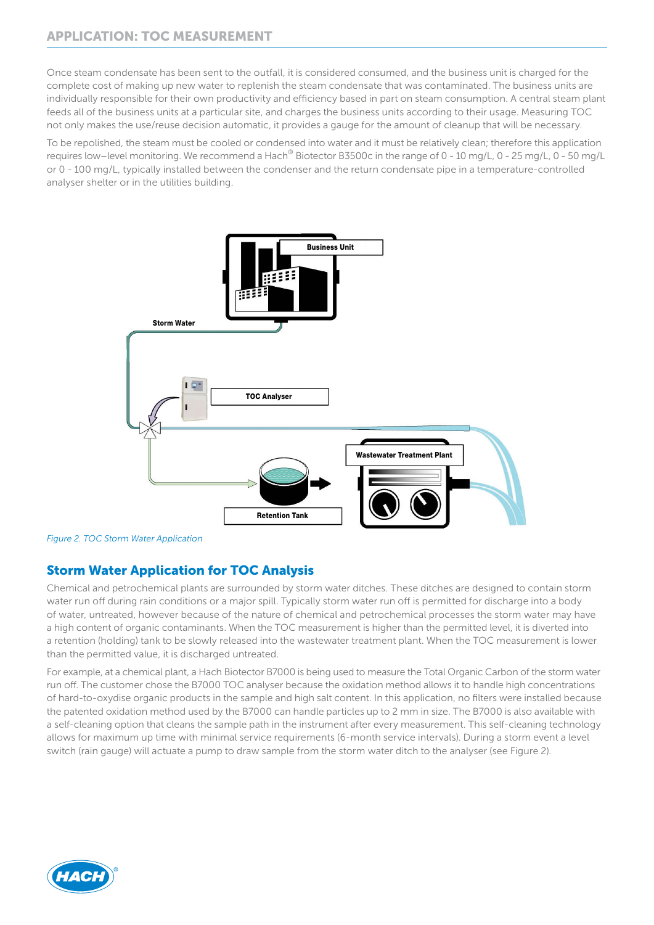Once steam condensate has been sent to the outfall, it is considered consumed, and the business unit is charged for the complete cost of making up new water to replenish the steam condensate that was contaminated. The business units are individually responsible for their own productivity and efficiency based in part on steam consumption. A central steam plant feeds all of the business units at a particular site, and charges the business units according to their usage. Measuring TOC not only makes the use/reuse decision automatic, it provides a gauge for the amount of cleanup that will be necessary.

To be repolished, the steam must be cooled or condensed into water and it must be relatively clean; therefore this application requires low–level monitoring. We recommend a Hach® Biotector B3500c in the range of 0 - 10 mg/L, 0 - 25 mg/L, 0 - 50 mg/L or 0 - 100 mg/L, typically installed between the condenser and the return condensate pipe in a temperature-controlled analyser shelter or in the utilities building.



*Figure 2. TOC Storm Water Application*

## Storm Water Application for TOC Analysis

Chemical and petrochemical plants are surrounded by storm water ditches. These ditches are designed to contain storm water run off during rain conditions or a major spill. Typically storm water run off is permitted for discharge into a body of water, untreated, however because of the nature of chemical and petrochemical processes the storm water may have a high content of organic contaminants. When the TOC measurement is higher than the permitted level, it is diverted into a retention (holding) tank to be slowly released into the wastewater treatment plant. When the TOC measurement is lower than the permitted value, it is discharged untreated.

For example, at a chemical plant, a Hach Biotector B7000 is being used to measure the Total Organic Carbon of the storm water run off. The customer chose the B7000 TOC analyser because the oxidation method allows it to handle high concentrations of hard-to-oxydise organic products in the sample and high salt content. In this application, no filters were installed because the patented oxidation method used by the B7000 can handle particles up to 2 mm in size. The B7000 is also available with a self-cleaning option that cleans the sample path in the instrument after every measurement. This self-cleaning technology allows for maximum up time with minimal service requirements (6-month service intervals). During a storm event a level switch (rain gauge) will actuate a pump to draw sample from the storm water ditch to the analyser (see Figure 2).

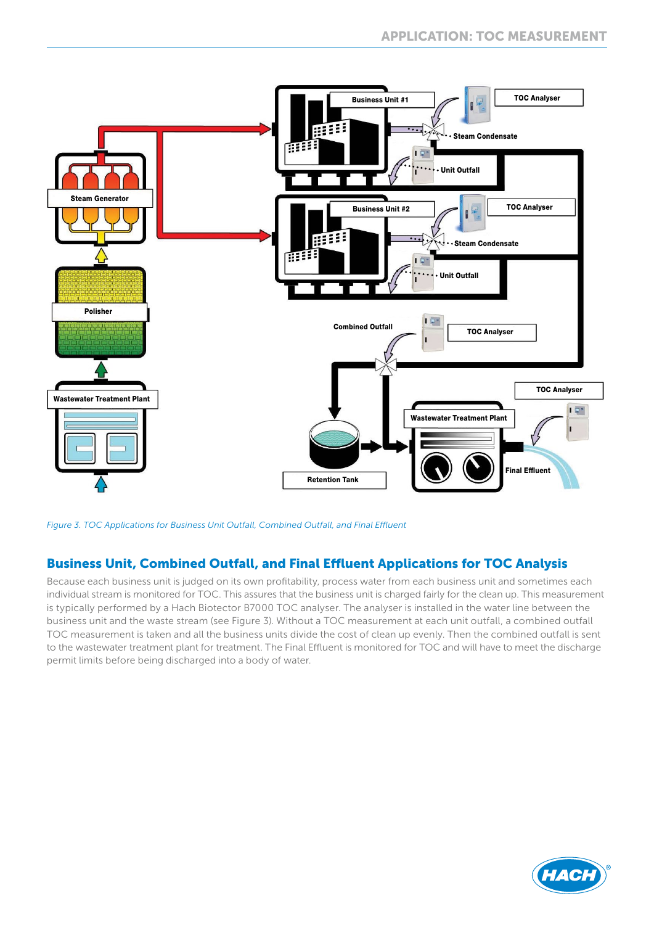

*Figure 3. TOC Applications for Business Unit Outfall, Combined Outfall, and Final Effluent*

#### Business Unit, Combined Outfall, and Final Effluent Applications for TOC Analysis

Because each business unit is judged on its own profitability, process water from each business unit and sometimes each individual stream is monitored for TOC. This assures that the business unit is charged fairly for the clean up. This measurement is typically performed by a Hach Biotector B7000 TOC analyser. The analyser is installed in the water line between the business unit and the waste stream (see Figure 3). Without a TOC measurement at each unit outfall, a combined outfall TOC measurement is taken and all the business units divide the cost of clean up evenly. Then the combined outfall is sent to the wastewater treatment plant for treatment. The Final Effluent is monitored for TOC and will have to meet the discharge permit limits before being discharged into a body of water.